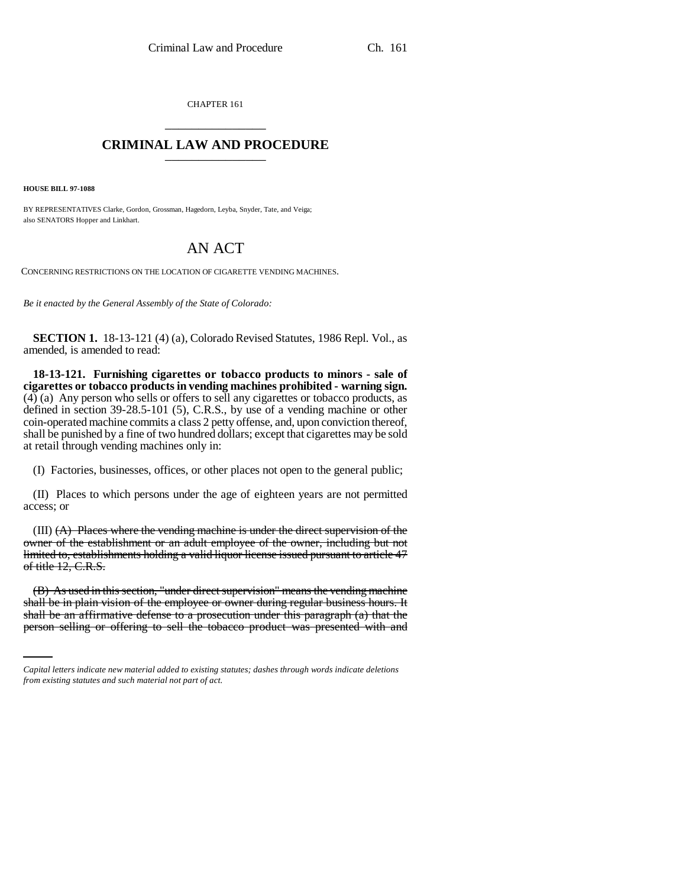CHAPTER 161 \_\_\_\_\_\_\_\_\_\_\_\_\_\_\_

## **CRIMINAL LAW AND PROCEDURE** \_\_\_\_\_\_\_\_\_\_\_\_\_\_\_

**HOUSE BILL 97-1088**

BY REPRESENTATIVES Clarke, Gordon, Grossman, Hagedorn, Leyba, Snyder, Tate, and Veiga; also SENATORS Hopper and Linkhart.

## AN ACT

CONCERNING RESTRICTIONS ON THE LOCATION OF CIGARETTE VENDING MACHINES.

*Be it enacted by the General Assembly of the State of Colorado:*

**SECTION 1.** 18-13-121 (4) (a), Colorado Revised Statutes, 1986 Repl. Vol., as amended, is amended to read:

**18-13-121. Furnishing cigarettes or tobacco products to minors - sale of cigarettes or tobacco products in vending machines prohibited - warning sign.**  $(4)$  (a) Any person who sells or offers to sell any cigarettes or tobacco products, as defined in section 39-28.5-101 (5), C.R.S., by use of a vending machine or other coin-operated machine commits a class 2 petty offense, and, upon conviction thereof, shall be punished by a fine of two hundred dollars; except that cigarettes may be sold at retail through vending machines only in:

(I) Factories, businesses, offices, or other places not open to the general public;

(II) Places to which persons under the age of eighteen years are not permitted access; or

(III) (A) Places where the vending machine is under the direct supervision of the owner of the establishment or an adult employee of the owner, including but not limited to, establishments holding a valid liquor license issued pursuant to article 47 of title 12, C.R.S.

shall be in plain vision of the employee or owner during regular business hours. It (B) As used in this section, "under direct supervision" means the vending machine shall be an affirmative defense to a prosecution under this paragraph (a) that the person selling or offering to sell the tobacco product was presented with and

*Capital letters indicate new material added to existing statutes; dashes through words indicate deletions from existing statutes and such material not part of act.*